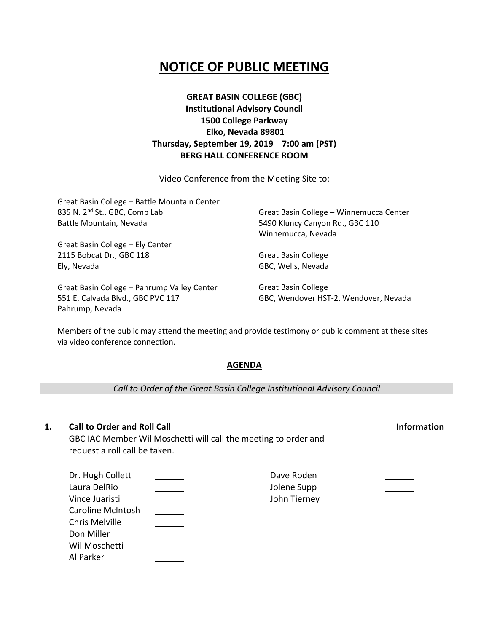# **NOTICE OF PUBLIC MEETING**

# **GREAT BASIN COLLEGE (GBC) Institutional Advisory Council 1500 College Parkway Elko, Nevada 89801 Thursday, September 19, 2019 7:00 am (PST) BERG HALL CONFERENCE ROOM**

Video Conference from the Meeting Site to:

| Great Basin College - Battle Mountain Center |                                         |  |
|----------------------------------------------|-----------------------------------------|--|
| 835 N. 2 <sup>nd</sup> St., GBC, Comp Lab    | Great Basin College - Winnemucca Center |  |
| Battle Mountain, Nevada                      | 5490 Kluncy Canyon Rd., GBC 110         |  |
|                                              | Winnemucca, Nevada                      |  |
| Great Basin College - Ely Center             |                                         |  |
| 2115 Bobcat Dr., GBC 118                     | <b>Great Basin College</b>              |  |
| Ely, Nevada                                  | GBC, Wells, Nevada                      |  |
| Great Basin College - Pahrump Valley Center  | <b>Great Basin College</b>              |  |
| 551 E. Calvada Blvd., GBC PVC 117            | GBC, Wendover HST-2, Wendover, Nevada   |  |

Members of the public may attend the meeting and provide testimony or public comment at these sites via video conference connection.

### **AGENDA**

*Call to Order of the Great Basin College Institutional Advisory Council*

## **1. Call to Order and Roll Call Information**

Pahrump, Nevada

GBC IAC Member Wil Moschetti will call the meeting to order and request a roll call be taken.

| Dr. Hugh Collett         | Dave Roden   |  |
|--------------------------|--------------|--|
| Laura DelRio             | Jolene Supp  |  |
| Vince Juaristi           | John Tierney |  |
| <b>Caroline McIntosh</b> |              |  |
| Chris Melville           |              |  |
| Don Miller               |              |  |
| Wil Moschetti            |              |  |
| Al Parker                |              |  |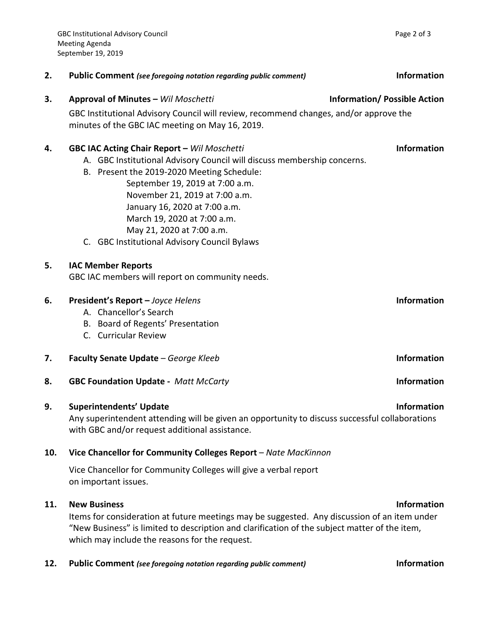| 2.  | <b>Public Comment (see foregoing notation regarding public comment)</b>                                                                                                                                                                                                                                                                                                                       | <b>Information</b> |
|-----|-----------------------------------------------------------------------------------------------------------------------------------------------------------------------------------------------------------------------------------------------------------------------------------------------------------------------------------------------------------------------------------------------|--------------------|
| 3.  | Approval of Minutes - Wil Moschetti<br><b>Information/Possible Action</b><br>GBC Institutional Advisory Council will review, recommend changes, and/or approve the<br>minutes of the GBC IAC meeting on May 16, 2019.                                                                                                                                                                         |                    |
| 4.  | <b>GBC IAC Acting Chair Report - Wil Moschetti</b><br>A. GBC Institutional Advisory Council will discuss membership concerns.<br>B. Present the 2019-2020 Meeting Schedule:<br>September 19, 2019 at 7:00 a.m.<br>November 21, 2019 at 7:00 a.m.<br>January 16, 2020 at 7:00 a.m.<br>March 19, 2020 at 7:00 a.m.<br>May 21, 2020 at 7:00 a.m.<br>C. GBC Institutional Advisory Council Bylaws | <b>Information</b> |
| 5.  | <b>IAC Member Reports</b><br>GBC IAC members will report on community needs.                                                                                                                                                                                                                                                                                                                  |                    |
| 6.  | President's Report - Joyce Helens<br>A. Chancellor's Search<br>B. Board of Regents' Presentation<br>C. Curricular Review                                                                                                                                                                                                                                                                      | <b>Information</b> |
| 7.  | Faculty Senate Update - George Kleeb                                                                                                                                                                                                                                                                                                                                                          | <b>Information</b> |
| 8.  | <b>GBC Foundation Update - Matt McCarty</b>                                                                                                                                                                                                                                                                                                                                                   | <b>Information</b> |
| 9.  | <b>Superintendents' Update</b><br>Any superintendent attending will be given an opportunity to discuss successful collaborations<br>with GBC and/or request additional assistance.                                                                                                                                                                                                            | <b>Information</b> |
| 10. | Vice Chancellor for Community Colleges Report - Nate MacKinnon                                                                                                                                                                                                                                                                                                                                |                    |
|     | Vice Chancellor for Community Colleges will give a verbal report<br>on important issues.                                                                                                                                                                                                                                                                                                      |                    |

## **11. New Business Information**

Items for consideration at future meetings may be suggested. Any discussion of an item under "New Business" is limited to description and clarification of the subject matter of the item, which may include the reasons for the request.

**12. Public Comment** *(see foregoing notation regarding public comment)* **Information**